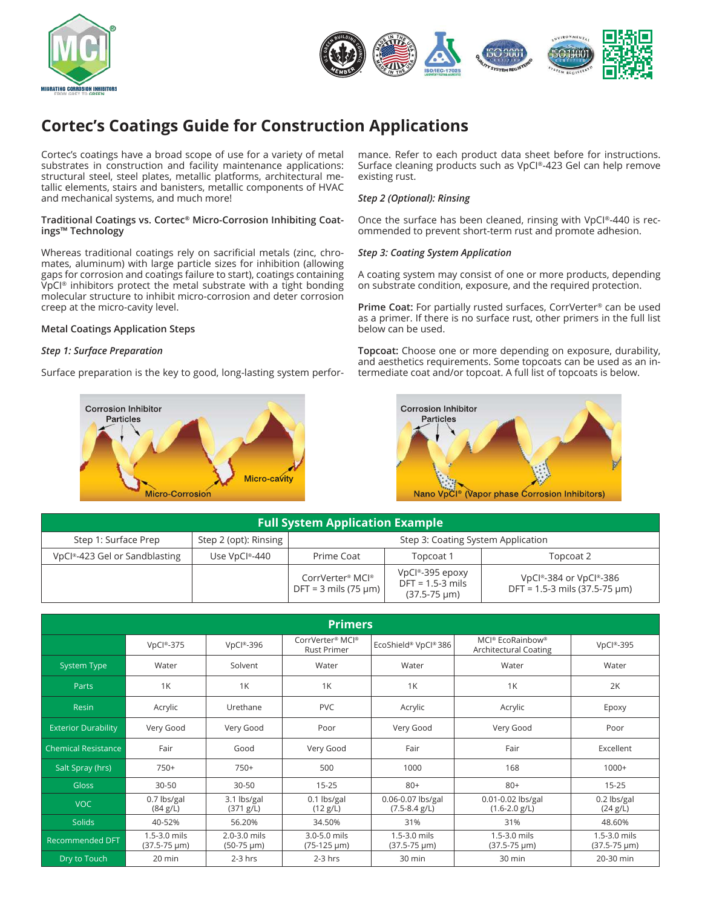



# **Cortec's Coatings Guide for Construction Applications**

Cortec's coatings have a broad scope of use for a variety of metal substrates in construction and facility maintenance applications: structural steel, steel plates, metallic platforms, architectural metallic elements, stairs and banisters, metallic components of HVAC and mechanical systems, and much more!

#### **Traditional Coatings vs. Cortec® Micro-Corrosion Inhibiting Coatings™ Technology**

Whereas traditional coatings rely on sacrificial metals (zinc, chromates, aluminum) with large particle sizes for inhibition (allowing gaps for corrosion and coatings failure to start), coatings containing VpCI® inhibitors protect the metal substrate with a tight bonding molecular structure to inhibit micro-corrosion and deter corrosion creep at the micro-cavity level.

### **Metal Coatings Application Steps**

# *Step 1: Surface Preparation*

Surface preparation is the key to good, long-lasting system perfor-



mance. Refer to each product data sheet before for instructions. Surface cleaning products such as VpCI®-423 Gel can help remove existing rust.

# *Step 2 (Optional): Rinsing*

Once the surface has been cleaned, rinsing with VpCI®-440 is recommended to prevent short-term rust and promote adhesion.

### *Step 3: Coating System Application*

A coating system may consist of one or more products, depending on substrate condition, exposure, and the required protection.

**Prime Coat:** For partially rusted surfaces, CorrVerter® can be used as a primer. If there is no surface rust, other primers in the full list below can be used.

**Topcoat:** Choose one or more depending on exposure, durability, and aesthetics requirements. Some topcoats can be used as an intermediate coat and/or topcoat. A full list of topcoats is below.



**Full System Application Example** Step 1: Surface Prep | Step 2 (opt): Rinsing | Step 3: Coating System Application VpCI®-423 Gel or Sandblasting | Use VpCI®-440 | Prime Coat | Topcoat 1 | Topcoat 2 CorrVerter® MCI®  $DFT = 3$  mils (75  $\mu$ m) VpCI®-395 epoxy DFT = 1.5-3 mils (37.5-75 µm) VpCI®-384 or VpCI®-386 DFT = 1.5-3 mils (37.5-75 µm)

| <b>Primers</b>             |                                     |                                 |                                        |                                      |                                                                   |                                     |
|----------------------------|-------------------------------------|---------------------------------|----------------------------------------|--------------------------------------|-------------------------------------------------------------------|-------------------------------------|
|                            | $VpCl®-375$                         | VpCl®-396                       | CorrVerter® MCI®<br><b>Rust Primer</b> | EcoShield® VpCl® 386                 | MCI <sup>®</sup> EcoRainbow <sup>®</sup><br>Architectural Coating | VpCl®-395                           |
| <b>System Type</b>         | Water                               | Solvent                         | Water                                  | Water                                | Water                                                             | Water                               |
| Parts                      | 1K                                  | 1K                              | 1K                                     | 1K<br>1K                             |                                                                   | 2K                                  |
| <b>Resin</b>               | Acrylic                             | Urethane                        | <b>PVC</b>                             | Acrylic                              | Acrylic                                                           |                                     |
| <b>Exterior Durability</b> | Very Good                           | Very Good                       | Poor                                   | Very Good                            | Very Good                                                         | Poor                                |
| <b>Chemical Resistance</b> | Fair                                | Good                            | Very Good                              | Fair                                 | Fair                                                              | Excellent                           |
| Salt Spray (hrs)           | $750+$                              | $750+$                          | 500                                    | 1000                                 | 168                                                               | $1000+$                             |
| <b>Gloss</b>               | $30 - 50$                           | $30 - 50$                       | $15 - 25$                              | $80+$                                | $80+$                                                             | $15 - 25$                           |
| <b>VOC</b>                 | 0.7 lbs/gal<br>(84 g/L)             | 3.1 lbs/gal<br>(371 g/L)        | $0.1$ lbs/gal<br>(12 g/L)              | 0.06-0.07 lbs/gal<br>$(7.5-8.4 g/L)$ | $0.01 - 0.02$ lbs/gal<br>$(1.6 - 2.0 g/L)$                        | 0.2 lbs/gal<br>(24 g/L)             |
| <b>Solids</b>              | 40-52%                              | 56.20%                          | 34.50%                                 | 31%                                  | 31%                                                               | 48.60%                              |
| Recommended DFT            | 1.5-3.0 mils<br>$(37.5 - 75 \mu m)$ | 2.0-3.0 mils<br>$(50-75 \mu m)$ | 3.0-5.0 mils<br>$(75-125 \mu m)$       | 1.5-3.0 mils<br>$(37.5 - 75 \mu m)$  | 1.5-3.0 mils<br>$(37.5 - 75 \mu m)$                               | 1.5-3.0 mils<br>$(37.5 - 75 \mu m)$ |
| Dry to Touch               | 20 min                              | $2-3$ hrs                       | $2-3$ hrs                              | 30 min                               | 30 min                                                            | 20-30 min                           |